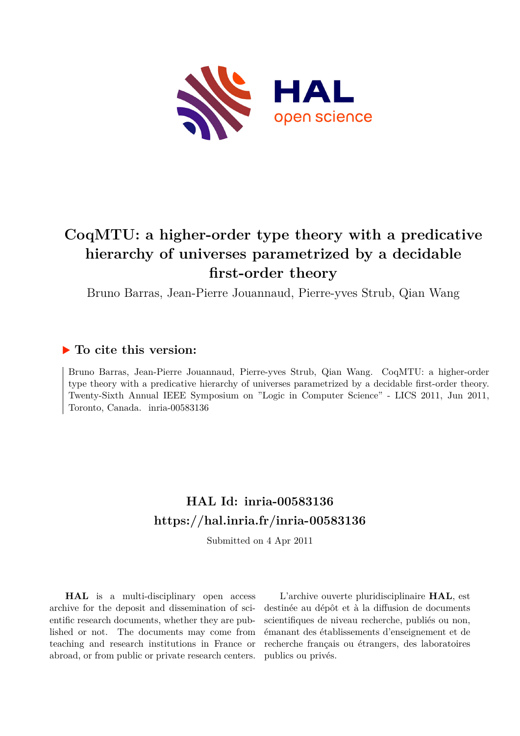

# **CoqMTU: a higher-order type theory with a predicative hierarchy of universes parametrized by a decidable first-order theory**

Bruno Barras, Jean-Pierre Jouannaud, Pierre-yves Strub, Qian Wang

# **To cite this version:**

Bruno Barras, Jean-Pierre Jouannaud, Pierre-yves Strub, Qian Wang. CoqMTU: a higher-order type theory with a predicative hierarchy of universes parametrized by a decidable first-order theory. Twenty-Sixth Annual IEEE Symposium on "Logic in Computer Science" - LICS 2011, Jun 2011, Toronto, Canada. inria-00583136

# **HAL Id: inria-00583136 <https://hal.inria.fr/inria-00583136>**

Submitted on 4 Apr 2011

**HAL** is a multi-disciplinary open access archive for the deposit and dissemination of scientific research documents, whether they are published or not. The documents may come from teaching and research institutions in France or abroad, or from public or private research centers.

L'archive ouverte pluridisciplinaire **HAL**, est destinée au dépôt et à la diffusion de documents scientifiques de niveau recherche, publiés ou non, émanant des établissements d'enseignement et de recherche français ou étrangers, des laboratoires publics ou privés.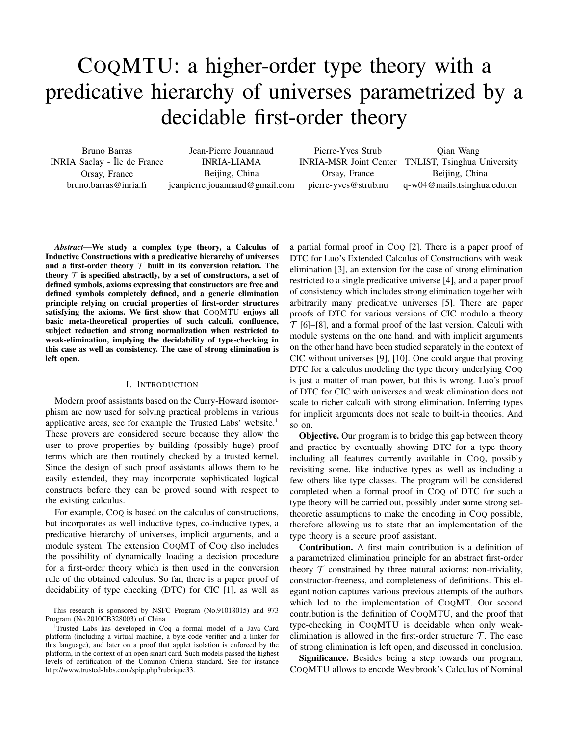# COQMTU: a higher-order type theory with a predicative hierarchy of universes parametrized by a decidable first-order theory

Bruno Barras INRIA Saclay - Île de France Orsay, France bruno.barras@inria.fr

Jean-Pierre Jouannaud INRIA-LIAMA Beijing, China jeanpierre.jouannaud@gmail.com

Pierre-Yves Strub Orsay, France pierre-yves@strub.nu

INRIA-MSR Joint Center TNLIST, Tsinghua University Qian Wang Beijing, China q-w04@mails.tsinghua.edu.cn

*Abstract*—We study a complex type theory, a Calculus of Inductive Constructions with a predicative hierarchy of universes and a first-order theory  $T$  built in its conversion relation. The theory  $\mathcal T$  is specified abstractly, by a set of constructors, a set of defined symbols, axioms expressing that constructors are free and defined symbols completely defined, and a generic elimination principle relying on crucial properties of first-order structures satisfying the axioms. We first show that COQMTU enjoys all basic meta-theoretical properties of such calculi, confluence, subject reduction and strong normalization when restricted to weak-elimination, implying the decidability of type-checking in this case as well as consistency. The case of strong elimination is left open.

### I. INTRODUCTION

Modern proof assistants based on the Curry-Howard isomorphism are now used for solving practical problems in various applicative areas, see for example the Trusted Labs' website.<sup>1</sup> These provers are considered secure because they allow the user to prove properties by building (possibly huge) proof terms which are then routinely checked by a trusted kernel. Since the design of such proof assistants allows them to be easily extended, they may incorporate sophisticated logical constructs before they can be proved sound with respect to the existing calculus.

For example, COQ is based on the calculus of constructions, but incorporates as well inductive types, co-inductive types, a predicative hierarchy of universes, implicit arguments, and a module system. The extension COQMT of COQ also includes the possibility of dynamically loading a decision procedure for a first-order theory which is then used in the conversion rule of the obtained calculus. So far, there is a paper proof of decidability of type checking (DTC) for CIC [1], as well as

This research is sponsored by NSFC Program (No.91018015) and 973 Program (No.2010CB328003) of China

<sup>1</sup>Trusted Labs has developed in Coq a formal model of a Java Card platform (including a virtual machine, a byte-code verifier and a linker for this language), and later on a proof that applet isolation is enforced by the platform, in the context of an open smart card. Such models passed the highest levels of certification of the Common Criteria standard. See for instance http://www.trusted-labs.com/spip.php?rubrique33.

a partial formal proof in COQ [2]. There is a paper proof of DTC for Luo's Extended Calculus of Constructions with weak elimination [3], an extension for the case of strong elimination restricted to a single predicative universe [4], and a paper proof of consistency which includes strong elimination together with arbitrarily many predicative universes [5]. There are paper proofs of DTC for various versions of CIC modulo a theory  $\mathcal{T}$  [6]–[8], and a formal proof of the last version. Calculi with module systems on the one hand, and with implicit arguments on the other hand have been studied separately in the context of CIC without universes [9], [10]. One could argue that proving DTC for a calculus modeling the type theory underlying Coo is just a matter of man power, but this is wrong. Luo's proof of DTC for CIC with universes and weak elimination does not scale to richer calculi with strong elimination. Inferring types for implicit arguments does not scale to built-in theories. And so on.

**Objective.** Our program is to bridge this gap between theory and practice by eventually showing DTC for a type theory including all features currently available in COQ, possibly revisiting some, like inductive types as well as including a few others like type classes. The program will be considered completed when a formal proof in COQ of DTC for such a type theory will be carried out, possibly under some strong settheoretic assumptions to make the encoding in COQ possible, therefore allowing us to state that an implementation of the type theory is a secure proof assistant.

Contribution. A first main contribution is a definition of a parametrized elimination principle for an abstract first-order theory  $\mathcal T$  constrained by three natural axioms: non-triviality, constructor-freeness, and completeness of definitions. This elegant notion captures various previous attempts of the authors which led to the implementation of COQMT. Our second contribution is the definition of COQMTU, and the proof that type-checking in COQMTU is decidable when only weakelimination is allowed in the first-order structure  $\mathcal{T}$ . The case of strong elimination is left open, and discussed in conclusion.

Significance. Besides being a step towards our program, COQMTU allows to encode Westbrook's Calculus of Nominal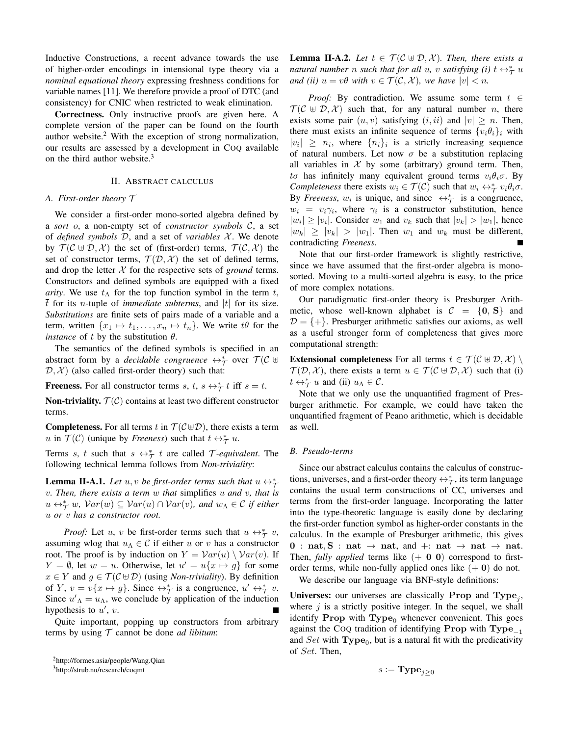Inductive Constructions, a recent advance towards the use of higher-order encodings in intensional type theory via a *nominal equational theory* expressing freshness conditions for variable names [11]. We therefore provide a proof of DTC (and consistency) for CNIC when restricted to weak elimination.

Correctness. Only instructive proofs are given here. A complete version of the paper can be found on the fourth author website. $<sup>2</sup>$  With the exception of strong normalization,</sup> our results are assessed by a development in COQ available on the third author website.<sup>3</sup>

## II. ABSTRACT CALCULUS

# *A. First-order theory* T

We consider a first-order mono-sorted algebra defined by a *sort* o, a non-empty set of *constructor symbols* C, a set of *defined symbols* D, and a set of *variables* X . We denote by  $T(C \oplus D, \mathcal{X})$  the set of (first-order) terms,  $T(C, \mathcal{X})$  the set of constructor terms,  $\mathcal{T}(\mathcal{D}, \mathcal{X})$  the set of defined terms, and drop the letter  $X$  for the respective sets of *ground* terms. Constructors and defined symbols are equipped with a fixed *arity*. We use  $t_{\Lambda}$  for the top function symbol in the term t, t for its *n*-tuple of *immediate subterms*, and  $|t|$  for its size. *Substitutions* are finite sets of pairs made of a variable and a term, written  $\{x_1 \mapsto t_1, \ldots, x_n \mapsto t_n\}$ . We write  $t\theta$  for the *instance* of t by the substitution  $\theta$ .

The semantics of the defined symbols is specified in an abstract form by a *decidable congruence*  $\leftrightarrow_{\mathcal{T}}^*$  over  $\mathcal{T}(\mathcal{C} \uplus \mathcal{C})$  $(D, \mathcal{X})$  (also called first-order theory) such that:

**Freeness.** For all constructor terms s, t,  $s \leftrightarrow_{\mathcal{T}}^* t$  iff  $s = t$ .

**Non-triviality.**  $\mathcal{T}(\mathcal{C})$  contains at least two different constructor terms.

**Completeness.** For all terms t in  $T(C \oplus D)$ , there exists a term u in  $T(\mathcal{C})$  (unique by *Freeness*) such that  $t \leftrightarrow_{\mathcal{T}}^* u$ .

Terms s, t such that  $s \leftrightarrow_{\mathcal{T}}^* t$  are called  $\mathcal{T}$ *-equivalent*. The following technical lemma follows from *Non-triviality*:

**Lemma II-A.1.** *Let*  $u, v$  *be first-order terms such that*  $u \leftrightarrow_{\mathcal{I}}^*$ v*. Then, there exists a term* w *that* simplifies u *and* v*, that is*  $u \leftrightarrow_{\mathcal{T}}^* w$ ,  $Var(w) \subseteq Var(u) \cap Var(v)$ , and  $w_{\Lambda} \in \mathcal{C}$  if either u *or* v *has a constructor root.*

*Proof:* Let u, v be first-order terms such that  $u \leftrightarrow_{\mathcal{T}}^* v$ , assuming wlog that  $u_\Lambda \in \mathcal{C}$  if either u or v has a constructor root. The proof is by induction on  $Y = Var(u) \setminus Var(v)$ . If  $Y = \emptyset$ , let  $w = u$ . Otherwise, let  $u' = u\{x \mapsto g\}$  for some  $x \in Y$  and  $g \in \mathcal{T}(\mathcal{C} \oplus \mathcal{D})$  (using *Non-triviality*). By definition of Y,  $v = v\{x \mapsto g\}$ . Since  $\leftrightarrow_{\mathcal{T}}^*$  is a congruence,  $u' \leftrightarrow_{\mathcal{T}}^* v$ . Since  $u'_{\Lambda} = u_{\Lambda}$ , we conclude by application of the induction hypothesis to  $u'$ ,  $v$ .

Quite important, popping up constructors from arbitrary terms by using  $T$  cannot be done *ad libitum*:

**Lemma II-A.2.** Let  $t \in \mathcal{T}(\mathcal{C} \oplus \mathcal{D}, \mathcal{X})$ . Then, there exists a *natural number n such that for all u*, *v satisfying* (*i*)  $t \leftrightarrow_{\mathcal{T}}^* u$ *and (ii)*  $u = v\theta$  *with*  $v \in \mathcal{T}(\mathcal{C}, \mathcal{X})$ *, we have*  $|v| < n$ *.* 

*Proof:* By contradiction. We assume some term  $t \in$  $T(C \oplus D, X)$  such that, for any natural number *n*, there exists some pair  $(u, v)$  satisfying  $(i, ii)$  and  $|v| \geq n$ . Then, there must exists an infinite sequence of terms  $\{v_i \theta_i\}_i$  with  $|v_i| \geq n_i$ , where  $\{n_i\}_i$  is a strictly increasing sequence of natural numbers. Let now  $\sigma$  be a substitution replacing all variables in  $X$  by some (arbitrary) ground term. Then,  $t\sigma$  has infinitely many equivalent ground terms  $v_i\theta_i\sigma$ . By *Completeness* there exists  $w_i \in \mathcal{T}(\mathcal{C})$  such that  $w_i \leftrightarrow_{\mathcal{T}}^* v_i \theta_i \sigma$ . By *Freeness*,  $w_i$  is unique, and since  $\leftrightarrow^*$  is a congruence,  $w_i = v_i \gamma_i$ , where  $\gamma_i$  is a constructor substitution, hence  $|w_i| \ge |v_i|$ . Consider  $w_1$  and  $v_k$  such that  $|v_k| > |w_1|$ , hence  $|w_k| \ge |v_k| > |w_1|$ . Then  $w_1$  and  $w_k$  must be different, contradicting *Freeness*.

Note that our first-order framework is slightly restrictive, since we have assumed that the first-order algebra is monosorted. Moving to a multi-sorted algebra is easy, to the price of more complex notations.

Our paradigmatic first-order theory is Presburger Arithmetic, whose well-known alphabet is  $C = \{0, S\}$  and  $D = \{+\}$ . Presburger arithmetic satisfies our axioms, as well as a useful stronger form of completeness that gives more computational strength:

**Extensional completeness** For all terms  $t \in \mathcal{T}(\mathcal{C} \oplus \mathcal{D}, \mathcal{X})$  $\mathcal{T}(\mathcal{D}, \mathcal{X})$ , there exists a term  $u \in \mathcal{T}(\mathcal{C} \oplus \mathcal{D}, \mathcal{X})$  such that (i)  $t \leftrightarrow_{\mathcal{T}}^* u$  and (ii)  $u_{\Lambda} \in \mathcal{C}$ .

Note that we only use the unquantified fragment of Presburger arithmetic. For example, we could have taken the unquantified fragment of Peano arithmetic, which is decidable as well.

#### *B. Pseudo-terms*

Since our abstract calculus contains the calculus of constructions, universes, and a first-order theory  $\leftrightarrow_{\mathcal{T}}^*$ , its term language contains the usual term constructions of CC, universes and terms from the first-order language. Incorporating the latter into the type-theoretic language is easily done by declaring the first-order function symbol as higher-order constants in the calculus. In the example of Presburger arithmetic, this gives 0 : nat, S : nat  $\rightarrow$  nat, and +: nat  $\rightarrow$  nat  $\rightarrow$  nat. Then, *fully applied* terms like  $(+ 0 0)$  correspond to firstorder terms, while non-fully applied ones like  $(+ 0)$  do not.

We describe our language via BNF-style definitions:

Universes: our universes are classically Prop and  $Type_j$ , where  $j$  is a strictly positive integer. In the sequel, we shall identify Prop with  $Type_0$  whenever convenient. This goes against the COQ tradition of identifying Prop with  $Type_{-1}$ and  $Set$  with  $Type_0$ , but is a natural fit with the predicativity of Set. Then,

$$
s := \mathbf{Type}_{j \geq 0}
$$

<sup>2</sup>http://formes.asia/people/Wang.Qian

<sup>3</sup>http://strub.nu/research/coqmt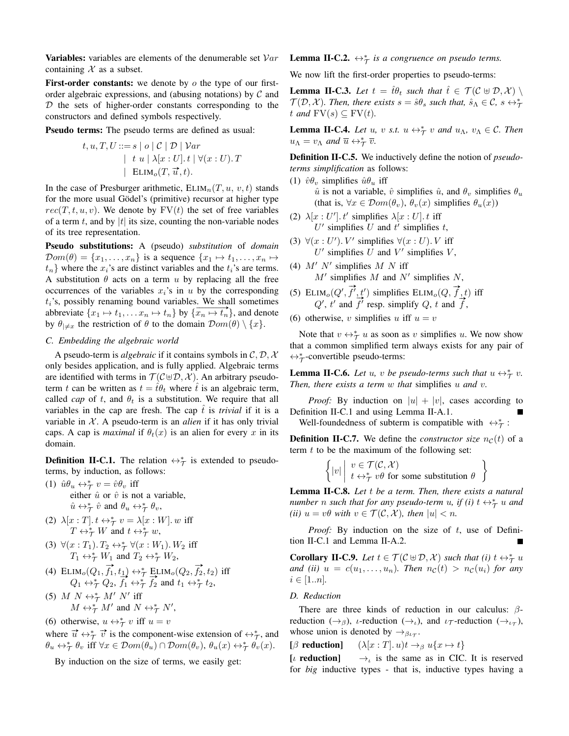**Variables:** variables are elements of the denumerable set  $Var$ containing  $X$  as a subset.

**First-order constants:** we denote by  $\sigma$  the type of our firstorder algebraic expressions, and (abusing notations) by  $\mathcal C$  and  $D$  the sets of higher-order constants corresponding to the constructors and defined symbols respectively.

Pseudo terms: The pseudo terms are defined as usual:

$$
t, u, T, U ::= s \mid o \mid C \mid D \mid Var
$$
  
\n
$$
\mid t u \mid \lambda[x : U]. t \mid \forall (x : U). T
$$
  
\n
$$
\mid \text{ELIM}_{o}(T, \overrightarrow{u}, t).
$$

In the case of Presburger arithmetic,  $ELIM_n(T, u, v, t)$  stands for the more usual Gödel's (primitive) recursor at higher type  $rec(T, t, u, v)$ . We denote by  $FV(t)$  the set of free variables of a term t, and by |t| its size, counting the non-variable nodes of its tree representation.

Pseudo substitutions: A (pseudo) *substitution* of *domain*  $\mathcal{D}om(\theta) = \{x_1, \ldots, x_n\}$  is a sequence  $\{x_1 \mapsto t_1, \ldots, x_n \mapsto$  $t_n$  where the  $x_i$ 's are distinct variables and the  $t_i$ 's are terms. A substitution  $\theta$  acts on a term u by replacing all the free occurrences of the variables  $x_i$ 's in u by the corresponding  $t_i$ 's, possibly renaming bound variables. We shall sometimes abbreviate  $\{x_1 \mapsto t_1, \dots x_n \mapsto t_n\}$  by  $\{x_n \mapsto t_n\}$ , and denote by  $\theta_{\vert \neq x}$  the restriction of  $\theta$  to the domain  $\mathcal{D}om(\theta) \setminus \{x\}.$ 

# *C. Embedding the algebraic world*

A pseudo-term is *algebraic* if it contains symbols in C, D, X only besides application, and is fully applied. Algebraic terms are identified with terms in  $\mathcal{T}(\mathcal{C} \oplus \mathcal{D}, \mathcal{X})$ . An arbitrary pseudoterm t can be written as  $t = \hat{t}\theta_t$  where  $\hat{t}$  is an algebraic term, called *cap* of t, and  $\theta_t$  is a substitution. We require that all variables in the cap are fresh. The cap  $\hat{t}$  is *trivial* if it is a variable in  $X$ . A pseudo-term is an *alien* if it has only trivial caps. A cap is *maximal* if  $\theta_t(x)$  is an alien for every x in its domain.

**Definition II-C.1.** The relation  $\leftrightarrow^*_{\mathcal{T}}$  is extended to pseudoterms, by induction, as follows:

- (1)  $\hat{u}\theta_u \leftrightarrow_{\mathcal{T}}^* v = \hat{v}\theta_v$  iff either  $\hat{u}$  or  $\hat{v}$  is not a variable,  $\hat{u} \leftrightarrow_{\mathcal{T}}^* \hat{v}$  and  $\theta_u \leftrightarrow_{\mathcal{T}}^* \theta_v$ ,
- (2)  $\lambda[x : T] \cdot t \leftrightarrow_{\mathcal{T}}^* v = \lambda[x : W] \cdot w$  iff  $T \leftrightarrow_{\mathcal{T}}^* W$  and  $t \leftrightarrow_{\mathcal{T}}^* w$ ,
- (3)  $\forall (x : T_1) \ldotp T_2 \leftrightarrow^*_{\mathcal{T}} \forall (x : W_1) \ldotp W_2$  iff  $T_1 \leftrightarrow^*_{\mathcal{T}} W_1$  and  $T_2 \leftrightarrow^*_{\mathcal{T}} W_2$ ,
- (4)  $ELIM_o(Q_1, \vec{f_1}, t_1) \leftrightarrow^*_{\mathcal{T}} \underline{ELIM}_o(Q_2, \vec{f_2}, t_2)$  iff  $Q_1 \leftrightarrow_{\mathcal{T}}^* Q_2$ ,  $\overrightarrow{f_1} \leftrightarrow_{\mathcal{T}}^* \overrightarrow{f_2}$  and  $t_1 \leftrightarrow_{\mathcal{T}}^* t_2$ ,
- (5)  $M N \leftrightarrow_{\mathcal{T}}^* M' N'$  iff  $M \leftrightarrow_{\mathcal{T}}^* M'$  and  $N \leftrightarrow_{\mathcal{T}}^* N'$ ,
- (6) otherwise,  $u \leftrightarrow_{\mathcal{T}}^* v$  iff  $u = v$

where  $\vec{u} \leftrightarrow_{\tau}^* \vec{v}$  is the component-wise extension of  $\leftrightarrow_{\tau}^*$ , and  $\theta_u \leftrightarrow_{\mathcal{T}}^* \theta_v \text{ iff } \forall x \in \mathcal{D}om(\theta_u) \cap \mathcal{D}om(\theta_v), \ \theta_u(x) \leftrightarrow_{\mathcal{T}}^* \theta_v(x).$ 

By induction on the size of terms, we easily get:

**Lemma II-C.2.**  $\leftrightarrow_{\mathcal{T}}^*$  is a congruence on pseudo terms.

We now lift the first-order properties to pseudo-terms:

**Lemma II-C.3.** Let  $t = \hat{t}\theta_t$  such that  $\hat{t} \in \mathcal{T}(\mathcal{C} \oplus \mathcal{D}, \mathcal{X})$  $\mathcal{T}(\mathcal{D}, \mathcal{X})$ . Then, there exists  $s = \hat{s}\theta_s$  such that,  $\hat{s}_\Lambda \in \mathcal{C}$ ,  $s \leftrightarrow^*_{\mathcal{T}}$ t and  $\text{FV}(s) \subseteq \text{FV}(t)$ .

**Lemma II-C.4.** *Let u*, *v s.t.*  $u \leftrightarrow_{\mathcal{T}}^* v$  *and*  $u_{\Lambda}$ ,  $v_{\Lambda} \in \mathcal{C}$ *. Then*  $u_{\Lambda} = v_{\Lambda}$  and  $\overline{u} \leftrightarrow_{\mathcal{T}}^* \overline{v}$ .

Definition II-C.5. We inductively define the notion of *pseudoterms simplification* as follows:

(1)  $\hat{v}\theta_v$  simplifies  $\hat{u}\theta_u$  iff

- $\hat{u}$  is not a variable,  $\hat{v}$  simplifies  $\hat{u}$ , and  $\theta_v$  simplifies  $\theta_u$ (that is,  $\forall x \in \mathcal{D}om(\theta_v)$ ,  $\theta_v(x)$  simplifies  $\theta_u(x)$ )
- (2)  $\lambda[x:U']$ . t' simplifies  $\lambda[x:U]$ . t iff  $U'$  simplifies  $U$  and  $t'$  simplifies  $t$ ,
- (3)  $\forall (x:U'). V'$  simplifies  $\forall (x:U). V$  iff  $U'$  simplifies  $U$  and  $V'$  simplifies  $V$ ,

(4) 
$$
M' N'
$$
 simplifies  $M N$  iff  
\n $M'$  simplifies  $M$  and  $N'$  simplifies  $N$ ,

(5)  $ELIM<sub>o</sub>(Q',$  $\overrightarrow{f}', t'$ ) simplifies  $\text{ELIM}_o(Q, \overrightarrow{f}, t)$  iff  $Q'$ ,  $t'$  and  $\stackrel{t}{\rightarrow}$  $\overrightarrow{f}$  simplify  $Q$ ,  $t$  and  $\overrightarrow{f}$ ,  $\overrightarrow{f}$  resp. simplify  $Q$ ,  $t$  and  $\overrightarrow{f}$ ,

(6) otherwise, v simplifies u iff  $u = v$ 

Note that  $v \leftrightarrow_{\mathcal{T}}^* u$  as soon as v simplifies u. We now show that a common simplified term always exists for any pair of ↔<sup>∗</sup> T -convertible pseudo-terms:

**Lemma II-C.6.** Let u, v be pseudo-terms such that  $u \leftrightarrow_{\mathcal{T}}^* v$ . *Then, there exists a term* w *that* simplifies u *and* v*.*

*Proof:* By induction on  $|u| + |v|$ , cases according to Definition II-C.1 and using Lemma II-A.1.

Well-foundedness of subterm is compatible with  $\leftrightarrow^*_{\mathcal{T}}$ :

**Definition II-C.7.** We define the *constructor size*  $n<sub>C</sub>(t)$  of a term  $t$  to be the maximum of the following set:

$$
\left\{ |v| \middle| \begin{array}{l} v \in \mathcal{T}(\mathcal{C}, \mathcal{X}) \\ t \leftrightarrow_{\mathcal{T}}^* v \theta \text{ for some substitution } \theta \end{array} \right\}
$$

Lemma II-C.8. *Let* t *be a term. Then, there exists a natural number n* such that for any pseudo-term *u*, if (i)  $t \leftrightarrow_{\mathcal{T}}^* u$  and *(ii)*  $u = v\theta$  *with*  $v \in \mathcal{T}(\mathcal{C}, \mathcal{X})$ *, then*  $|u| < n$ *.* 

*Proof:* By induction on the size of  $t$ , use of Definition II-C.1 and Lemma II-A.2.

**Corollary II-C.9.** *Let*  $t \in \mathcal{T}(\mathcal{C} \oplus \mathcal{D}, \mathcal{X})$  *such that (i)*  $t \leftrightarrow_{\mathcal{T}}^* u$ *and (ii)*  $u = c(u_1, \ldots, u_n)$ *. Then*  $n_c(t) > n_c(u_i)$  *for any*  $i \in [1..n]$ .

### *D. Reduction*

There are three kinds of reduction in our calculus:  $\beta$ reduction  $(\rightarrow_{\beta})$ , *ι*-reduction  $(\rightarrow_{\iota})$ , and *ι* $_{\mathcal{T}}$ -reduction  $(\rightarrow_{\iota})$ , whose union is denoted by  $\rightarrow_{\beta\iota\tau}$ .

[β reduction]  $(\lambda [x : T], u)t \rightarrow_\beta u\{x \mapsto t\}$ 

[ $\iota$  reduction]  $\rightarrow$ <sub>c</sub> is the same as in CIC. It is reserved for *big* inductive types - that is, inductive types having a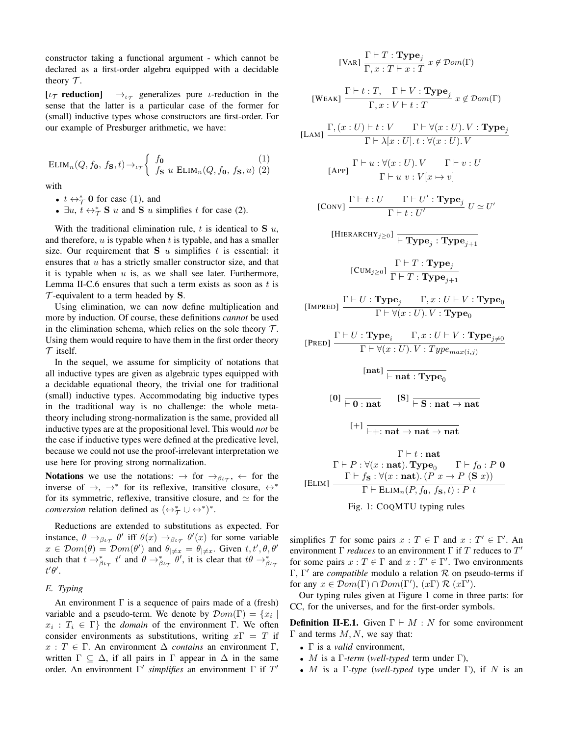constructor taking a functional argument - which cannot be declared as a first-order algebra equipped with a decidable theory  $\mathcal{T}$ .

[ $\iota_{\mathcal{T}}$  reduction]  $\rightarrow_{\iota\tau}$  generalizes pure *ι*-reduction in the sense that the latter is a particular case of the former for (small) inductive types whose constructors are first-order. For our example of Presburger arithmetic, we have:

ELIM<sub>n</sub>(Q, 
$$
f_0
$$
,  $f_s$ ,  $t$ )  $\rightarrow$  <sub>$\iota$</sub>  $\rightarrow$   $\begin{cases} f_0 & (1) \\ f_s u \text{ ELIM}_n(Q, f_0, f_s, u) & (2) \end{cases}$ 

with

- $t \leftrightarrow_{\mathcal{T}}^* 0$  for case (1), and
- $\exists u, t \leftrightarrow_{\mathcal{T}}^* S u$  and S u simplifies t for case (2).

With the traditional elimination rule,  $t$  is identical to  $S$   $u$ , and therefore,  $u$  is typable when  $t$  is typable, and has a smaller size. Our requirement that  $S \, u$  simplifies t is essential: it ensures that  $u$  has a strictly smaller constructor size, and that it is typable when  $u$  is, as we shall see later. Furthermore, Lemma II-C.6 ensures that such a term exists as soon as  $t$  is  $\mathcal T$ -equivalent to a term headed by S.

Using elimination, we can now define multiplication and more by induction. Of course, these definitions *cannot* be used in the elimination schema, which relies on the sole theory  $\mathcal{T}$ . Using them would require to have them in the first order theory  $\tau$  itself.

In the sequel, we assume for simplicity of notations that all inductive types are given as algebraic types equipped with a decidable equational theory, the trivial one for traditional (small) inductive types. Accommodating big inductive types in the traditional way is no challenge: the whole metatheory including strong-normalization is the same, provided all inductive types are at the propositional level. This would *not* be the case if inductive types were defined at the predicative level, because we could not use the proof-irrelevant interpretation we use here for proving strong normalization.

**Notations** we use the notations:  $\rightarrow$  for  $\rightarrow$   $\beta_{\ell\tau}$ ,  $\leftarrow$  for the inverse of  $\rightarrow$ ,  $\rightarrow^*$  for its reflexive, transitive closure,  $\leftrightarrow^*$ for its symmetric, reflexive, transitive closure, and  $\simeq$  for the *conversion* relation defined as  $(\leftrightarrow_{\mathcal{T}}^* \cup \leftrightarrow^*)^*$ .

Reductions are extended to substitutions as expected. For instance,  $\theta \rightarrow_{\beta \iota_{\mathcal{T}}} \theta'$  iff  $\theta(x) \rightarrow_{\beta \iota_{\mathcal{T}}} \theta'(x)$  for some variable  $x \in \mathcal{D}om(\theta) = \mathcal{D}om(\theta')$  and  $\theta_{\vert \neq x} = \theta_{\vert \neq x}$ . Given  $t, t', \theta, \theta'$ such that  $t \to_{\beta \iota_{\mathcal{T}}}^* t'$  and  $\theta \to_{\beta \iota_{\mathcal{T}}}^* \theta'$ , it is clear that  $t\theta \to_{\beta \iota_{\mathcal{T}}}^*$  $t'\theta'$ .

## *E. Typing*

An environment  $\Gamma$  is a sequence of pairs made of a (fresh) variable and a pseudo-term. We denote by  $\mathcal{D}om(\Gamma) = \{x_i \mid$  $x_i : T_i \in \Gamma$  the *domain* of the environment Γ. We often consider environments as substitutions, writing  $x\Gamma = T$  if  $x: T \in \Gamma$ . An environment  $\Delta$  *contains* an environment  $\Gamma$ , written  $\Gamma \subseteq \Delta$ , if all pairs in  $\Gamma$  appear in  $\Delta$  in the same order. An environment Γ ′ *simplifies* an environment Γ if T ′

[**VAR**] 
$$
\frac{\Gamma \vdash T : \textbf{Type}_j}{\Gamma, x : T \vdash x : T} x \notin \mathcal{D}om(\Gamma)
$$

[**WEAK**] 
$$
\frac{\Gamma \vdash t : T, \quad \Gamma \vdash V : \textbf{Type}_j}{\Gamma, x : V \vdash t : T} x \notin \mathcal{D}om(\Gamma)
$$

$$
\text{[LAM]} \frac{\Gamma,(x:U) \vdash t:V \qquad \Gamma \vdash \forall (x:U).V: \mathbf{Type}_j}{\Gamma \vdash \lambda[x:U].t: \forall (x:U).V}
$$
\n
$$
\Gamma \vdash u: \forall (x:U).V \qquad \Gamma \vdash v:U
$$

$$
\frac{\text{[APP]}}{\Gamma \vdash u \ v : V[x \mapsto v]}
$$

[Conv] 
$$
\frac{\Gamma \vdash t : U \qquad \Gamma \vdash U' : \textbf{Type}_j}{\Gamma \vdash t : U'}
$$
  $U \simeq U'$ 

$$
[\mathsf{HIERARCHY}_{j\geq 0}]\; \frac{}{\vdash \mathbf{Type}_{j}:\mathbf{Type}_{j+1}}
$$

$$
\text{[CUM}_{j\geq 0}\text{]} \, \frac{\Gamma \vdash T : \textbf{Type}_j}{\Gamma \vdash T : \textbf{Type}_{j+1}}
$$

$$
\text{[IMPRED]} \quad \frac{\Gamma \vdash U : \mathbf{Type}_j \qquad \Gamma, x : U \vdash V : \mathbf{Type}_0}{\Gamma \vdash \forall (x : U) . \ V : \mathbf{Type}_0}
$$

$$
[PRED] \frac{\Gamma \vdash U : \textbf{Type}_i \quad \Gamma, x : U \vdash V : \textbf{Type}_{j \neq 0}}{\Gamma \vdash \forall (x : U). V : Type_{max(i,j)} }
$$
\n
$$
[nat] \frac{\Gamma}{\vdash nat : \textbf{Type}_0}
$$
\n
$$
[0] \frac{\Gamma}{\vdash 0 : nat} \quad [S] \frac{\Gamma}{\vdash S : nat \rightarrow nat}
$$
\n
$$
[+] \frac{\Gamma}{\vdash +: nat \rightarrow nat \rightarrow nat}
$$
\n
$$
\Gamma \vdash t : nat
$$
\n
$$
\Gamma \vdash P : \forall (x : nat). \textbf{Type}_0 \quad \Gamma \vdash f_0 : P \text{ 0}
$$
\n
$$
[ELIM] \frac{\Gamma \vdash f_S : \forall (x : nat). (P \ x \rightarrow P \ (S \ x))}{\Gamma \vdash ELIM_n(P, f_0, f_S, t) : P \ t}
$$



simplifies T for some pairs  $x : T \in \Gamma$  and  $x : T' \in \Gamma'$ . An environment  $\Gamma$  *reduces* to an environment  $\Gamma$  if T reduces to  $T'$ for some pairs  $x : T \in \Gamma$  and  $x : T' \in \Gamma'$ . Two environments Γ, Γ' are *compatible* modulo a relation R on pseudo-terms if for any  $x \in \mathcal{D}om(\Gamma) \cap \mathcal{D}om(\Gamma')$ ,  $(x\Gamma) \mathcal{R} (x\Gamma')$ .

Our typing rules given at Figure 1 come in three parts: for CC, for the universes, and for the first-order symbols.

**Definition II-E.1.** Given  $\Gamma \vdash M : N$  for some environment Γ and terms  $M, N$ , we say that:

- Γ is a *valid* environment,
- M is a Γ*-term* (*well-typed* term under Γ),
- M is a Γ*-type* (*well-typed* type under Γ), if N is an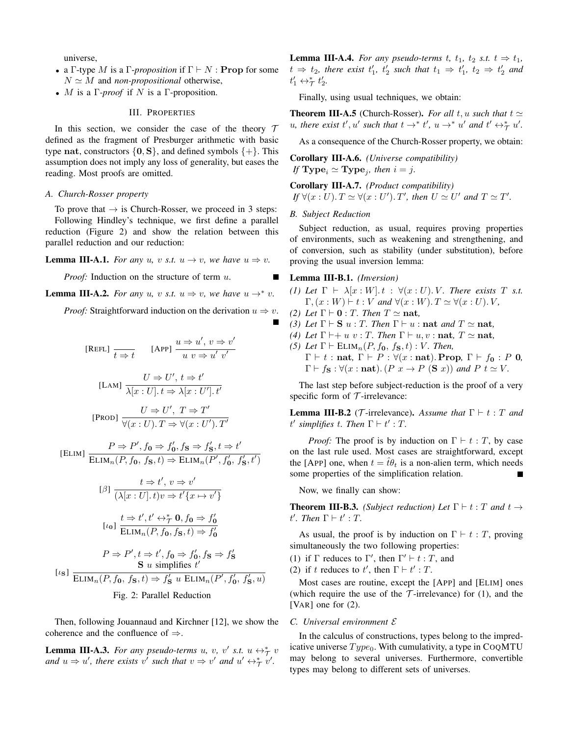universe,

- a Γ-type M is a Γ-*proposition* if  $\Gamma \vdash N$ : **Prop** for some  $N \simeq M$  and *non-propositional* otherwise,
- M is a Γ*-proof* if N is a Γ-proposition.

# III. PROPERTIES

In this section, we consider the case of the theory  $T$ defined as the fragment of Presburger arithmetic with basic type nat, constructors  $\{0, S\}$ , and defined symbols  $\{+\}$ . This assumption does not imply any loss of generality, but eases the reading. Most proofs are omitted.

# *A. Church-Rosser property*

To prove that  $\rightarrow$  is Church-Rosser, we proceed in 3 steps: Following Hindley's technique, we first define a parallel reduction (Figure 2) and show the relation between this parallel reduction and our reduction:

**Lemma III-A.1.** *For any u*, *v s.t.*  $u \rightarrow v$ *, we have*  $u \Rightarrow v$ *.* 

*Proof:* Induction on the structure of term u.

**Lemma III-A.2.** *For any u*, *v s.t.*  $u \Rightarrow v$ *, we have*  $u \rightarrow^* v$ *.* 

*Proof:* Straightforward induction on the derivation  $u \Rightarrow v$ .

[REFL] 
$$
\frac{t}{t \Rightarrow t}
$$
 [APP]  $\frac{u \Rightarrow u', v \Rightarrow v'}{u \quad v \Rightarrow u' \quad v'}$   
\n[LAM]  $\frac{U \Rightarrow U', t \Rightarrow t'}{\lambda[x:U].t \Rightarrow \lambda[x:U'].t'}$   
\n[PROD]  $\frac{U \Rightarrow U', T \Rightarrow T'}{\forall (x:U).T \Rightarrow \forall (x:U').T'}$ 

 $[ELIM]$   $\frac{P \Rightarrow P', f_0 \Rightarrow f'_0, f_s \Rightarrow f'_s, t \Rightarrow t'}{\sum_{r=1}^s P(r, f_0, f_1, f_2, f_3, f_4, f_5, f_6, f_7, f_7, f_8, f_8, f_9, f_9, f_1, f_1, f_2, f_3, f_4, f_7}}$  $ELIM<sub>n</sub>(P, f<sub>0</sub>, f<sub>S</sub>, t) \Rightarrow ELIM<sub>n</sub>(P', f'<sub>0</sub>, f'<sub>S</sub>, t')$ 

$$
[ \beta ] \frac{t \Rightarrow t', v \Rightarrow v'}{(\lambda[x : U]. t)v \Rightarrow t' \{x \mapsto v'\}}
$$

$$
[ \iota_0 ] \frac{t \Rightarrow t', t' \leftrightarrow_{\mathcal{T}}^* \mathbf{0}, f_{\mathbf{0}} \Rightarrow f'_{\mathbf{0}}}{\text{ELIM}_n(P, f_{\mathbf{0}}, f_{\mathbf{S}}, t) \Rightarrow f'_{\mathbf{0}}}
$$

$$
\lfloor t_{0} \rfloor \cdot \mathbf{ELIM}_{n}(P, f_{0}, f_{\mathbf{S}}, t) \Rightarrow f
$$

$$
P \Rightarrow P', t \Rightarrow t', f_0 \Rightarrow f'_0, f_S \Rightarrow f'_S
$$
  
\nS u simplifies t'  
\nELIM<sub>n</sub> $(P, f_0, f_S, t) \Rightarrow f'_S$  u ELIM<sub>n</sub> $(P', f'_0, f'_S, u)$   
\nFig. 2: Parallel Reduction

Then, following Jouannaud and Kirchner [12], we show the coherence and the confluence of ⇒.

**Lemma III-A.3.** For any pseudo-terms u, v, v' s.t.  $u \leftrightarrow_{\mathcal{T}}^* v$ *and*  $u \Rightarrow u'$ , there exists v' such that  $v \Rightarrow v'$  and  $u' \leftrightarrow_{\mathcal{T}}^* v'$ .

**Lemma III-A.4.** *For any pseudo-terms t, t*<sub>1</sub>, t<sub>2</sub> *s.t.*  $t \Rightarrow t_1$ ,  $t \Rightarrow t_2$ , there exist  $t'_1$ ,  $t'_2$  such that  $t_1 \Rightarrow t'_1$ ,  $t_2 \Rightarrow t'_2$  and  $t'_1 \leftrightarrow_{\mathcal{T}}^* t'_2.$ 

Finally, using usual techniques, we obtain:

**Theorem III-A.5** (Church-Rosser). *For all*  $t, u$  *such that*  $t \approx$ *u*, there exist  $t', u'$  such that  $t \to^* t', u \to^* u'$  and  $t' \leftrightarrow^* t', u'$ .

As a consequence of the Church-Rosser property, we obtain:

Corollary III-A.6. *(Universe compatibility) If*  $Type_i \simeq Type_j$ , then  $i = j$ .

Corollary III-A.7. *(Product compatibility) If*  $\forall (x : U) \cdot T \simeq \forall (x : U') \cdot T'$ , then  $U \simeq U'$  and  $T \simeq T'$ .

#### *B. Subject Reduction*

Subject reduction, as usual, requires proving properties of environments, such as weakening and strengthening, and of conversion, such as stability (under substitution), before proving the usual inversion lemma:

# Lemma III-B.1. *(Inversion)*

*(1) Let*  $\Gamma \vdash \lambda [x : W].t : \forall (x : U).V$ *. There exists* T *s.t.*  $\Gamma,(x:W) \vdash t:V$  *and*  $\forall (x:W) \ldotp T \simeq \forall (x:U) \ldotp V,$ 

- *(2) Let*  $\Gamma \vdash \mathbf{0} : T$ *. Then*  $T \simeq \mathbf{nat}$ *,*
- *(3) Let*  $\Gamma \vdash S$  *u* : *T. Then*  $\Gamma \vdash u$  : nat *and*  $T \simeq$  nat,
- *(4) Let*  $\Gamma \vdash + u \ v : T$ *. Then*  $\Gamma \vdash u, v : \textbf{nat}, T \simeq \textbf{nat}$ *,*
- *(5) Let*  $\Gamma \vdash \text{ELIM}_n(P, f_0, f_{\mathbf{S}}, t) : V$ *. Then,*  $\Gamma \vdash t : \textbf{nat}, \ \Gamma \vdash P : \forall (x : \textbf{nat}).$  **Prop**,  $\Gamma \vdash f_0 : P$  **0***,*  $\Gamma \vdash f_{\mathbf{S}} : \forall (x : \mathbf{nat}) \colon (P \ x \to P \ (\mathbf{S} \ x)) \ and \ P \ t \simeq V.$

The last step before subject-reduction is the proof of a very specific form of  $\mathcal T$ -irrelevance:

**Lemma III-B.2** (*T*-irrelevance). *Assume that*  $\Gamma \vdash t : T$  *and*  $t'$  simplifies  $t$ . Then  $\Gamma \vdash t'$ : T.

*Proof:* The proof is by induction on  $\Gamma \vdash t : T$ , by case on the last rule used. Most cases are straightforward, except the [APP] one, when  $t = \hat{t}\theta_t$  is a non-alien term, which needs some properties of the simplification relation.

Now, we finally can show:

**Theorem III-B.3.** *(Subject reduction) Let*  $\Gamma \vdash t : T$  *and*  $t \rightarrow$  $t'.$  Then  $\Gamma \vdash t' : T$ .

As usual, the proof is by induction on  $\Gamma \vdash t : T$ , proving simultaneously the two following properties:

- (1) if  $\Gamma$  reduces to  $\Gamma'$ , then  $\Gamma' \vdash t : T$ , and
- (2) if t reduces to t', then  $\Gamma \vdash t' : T$ .

Most cases are routine, except the [APP] and [ELIM] ones (which require the use of the  $\mathcal T$ -irrelevance) for (1), and the [VAR] one for  $(2)$ .

# *C. Universal environment* E

In the calculus of constructions, types belong to the impredicative universe  $Type_0$ . With cumulativity, a type in COQMTU may belong to several universes. Furthermore, convertible types may belong to different sets of universes.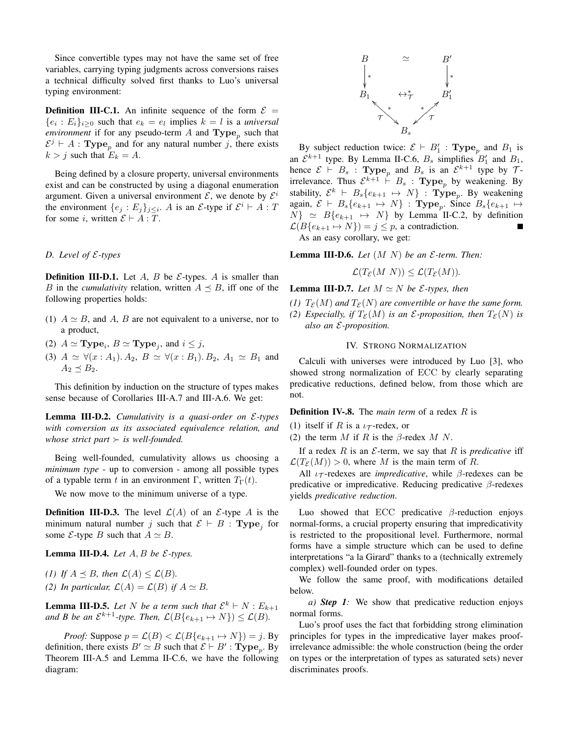Since convertible types may not have the same set of free variables, carrying typing judgments across conversions raises a technical difficulty solved first thanks to Luo's universal typing environment:

**Definition III-C.1.** An infinite sequence of the form  $\mathcal{E} =$  $\{e_i : E_i\}_{i \geq 0}$  such that  $e_k = e_l$  implies  $k = l$  is a *universal environment* if for any pseudo-term A and  $\text{Type}_p$  such that  $\mathcal{E}^j \vdash A$ : Type<sub>p</sub> and for any natural number j, there exists  $k > j$  such that  $E_k = A$ .

Being defined by a closure property, universal environments exist and can be constructed by using a diagonal enumeration argument. Given a universal environment  $\mathcal{E}$ , we denote by  $\mathcal{E}^i$ the environment  $\{e_j : E_j\}_{j \leq i}$ . A is an  $\mathcal{E}$ -type if  $\mathcal{E}^i \vdash A : T$ for some i, written  $\mathcal{E} \vdash A : T$ .

# *D. Level of* E*-types*

**Definition III-D.1.** Let  $A$ ,  $B$  be  $\mathcal{E}$ -types.  $A$  is smaller than B in the *cumulativity* relation, written  $A \preceq B$ , iff one of the following properties holds:

- (1)  $A \simeq B$ , and A, B are not equivalent to a universe, nor to a product,
- (2)  $A \simeq \textbf{Type}_i, B \simeq \textbf{Type}_j$ , and  $i \leq j$ ,
- (3)  $A \simeq \forall (x : A_1) \ldotp A_2, B \simeq \forall (x : B_1) \ldotp B_2, A_1 \simeq B_1$  and  $A_2 \preceq B_2$ .

This definition by induction on the structure of types makes sense because of Corollaries III-A.7 and III-A.6. We get:

Lemma III-D.2. *Cumulativity is a quasi-order on* E*-types with conversion as its associated equivalence relation, and whose strict part*  $\succ$  *is well-founded.* 

Being well-founded, cumulativity allows us choosing a *minimum type* - up to conversion - among all possible types of a typable term t in an environment Γ, written  $T_{\Gamma}(t)$ .

We now move to the minimum universe of a type.

**Definition III-D.3.** The level  $\mathcal{L}(A)$  of an  $\mathcal{E}\text{-type } A$  is the minimum natural number j such that  $\mathcal{E} \vdash B$  : Type<sub>j</sub> for some  $\mathcal{E}\text{-type }B$  such that  $A \simeq B$ .

**Lemma III-D.4.** *Let*  $A, B$  *be*  $\mathcal{E}\text{-types.}$ 

*(1)* If  $A \prec B$ *, then*  $\mathcal{L}(A) \leq \mathcal{L}(B)$ *. (2) In particular,*  $\mathcal{L}(A) = \mathcal{L}(B)$  *if*  $A \simeq B$ *.* 

**Lemma III-D.5.** Let N be a term such that  $\mathcal{E}^k \vdash N : E_{k+1}$ *and B be an*  $\mathcal{E}^{k+1}$ -type. Then,  $\mathcal{L}(B\{e_{k+1} \mapsto N\}) \le \mathcal{L}(B)$ .

*Proof:* Suppose  $p = \mathcal{L}(B) < \mathcal{L}(B\{e_{k+1} \mapsto N\}) = j$ . By definition, there exists  $B' \simeq B$  such that  $\mathcal{E} \vdash B'$ : **Type**<sub>p</sub>. By Theorem III-A.5 and Lemma II-C.6, we have the following diagram:



By subject reduction twice:  $\mathcal{E} \vdash B'_1$ : Type<sub>p</sub> and  $B_1$  is an  $\mathcal{E}^{k+1}$  type. By Lemma II-C.6,  $B_s$  simplifies  $B'_1$  and  $B_1$ , hence  $\mathcal{E} \vdash B_s$ : Type<sub>p</sub> and  $B_s$  is an  $\mathcal{E}^{k+1}$  type by  $\mathcal{T}$ irrelevance. Thus  $\mathcal{E}^{k+1}$   $\vdash B_s$  : **Type**<sub>p</sub> by weakening. By stability,  $\mathcal{E}^k \vdash B_s\{e_{k+1} \mapsto N\}$  :  $\mathbf{Type}_p$ . By weakening again,  $\mathcal{E} \vdash B_s \{e_{k+1} \mapsto N\}$ : Type<sub>p</sub>. Since  $B_s \{e_{k+1} \mapsto$  $N$ }  $\simeq$   $B\{e_{k+1} \mapsto N\}$  by Lemma II-C.2, by definition  $\mathcal{L}(B\{e_{k+1} \mapsto N\}) = j \leq p$ , a contradiction. As an easy corollary, we get:

**Lemma III-D.6.** *Let*  $(M \ N)$  *be an*  $\mathcal{E}\text{-term}$ *. Then:* 

$$
\mathcal{L}(T_{\mathcal{E}}(M\ N)) \leq \mathcal{L}(T_{\mathcal{E}}(M)).
$$

**Lemma III-D.7.** *Let*  $M \simeq N$  *be*  $\mathcal{E}\text{-types}$ *, then* 

*(1)*  $T_{\mathcal{E}}(M)$  *and*  $T_{\mathcal{E}}(N)$  *are convertible or have the same form. (2) Especially, if*  $T_{\mathcal{E}}(M)$  *is an*  $\mathcal{E}$ *-proposition, then*  $T_{\mathcal{E}}(N)$  *is also an* E*-proposition.*

## IV. STRONG NORMALIZATION

Calculi with universes were introduced by Luo [3], who showed strong normalization of ECC by clearly separating predicative reductions, defined below, from those which are not.

Definition IV-.8. The *main term* of a redex R is

(1) itself if R is a  $i\tau$ -redex, or

(2) the term  $M$  if  $R$  is the  $\beta$ -redex  $M$   $N$ .

If a redex  $R$  is an  $\mathcal E$ -term, we say that  $R$  is *predicative* iff  $\mathcal{L}(T_{\mathcal{E}}(M)) > 0$ , where M is the main term of R.

All  $\iota_{\mathcal{T}}$ -redexes are *impredicative*, while  $\beta$ -redexes can be predicative or impredicative. Reducing predicative β-redexes yields *predicative reduction*.

Luo showed that ECC predicative  $\beta$ -reduction enjoys normal-forms, a crucial property ensuring that impredicativity is restricted to the propositional level. Furthermore, normal forms have a simple structure which can be used to define interpretations "a la Girard" thanks to a (technically extremely complex) well-founded order on types.

We follow the same proof, with modifications detailed below.

*a) Step 1:* We show that predicative reduction enjoys normal forms.

Luo's proof uses the fact that forbidding strong elimination principles for types in the impredicative layer makes proofirrelevance admissible: the whole construction (being the order on types or the interpretation of types as saturated sets) never discriminates proofs.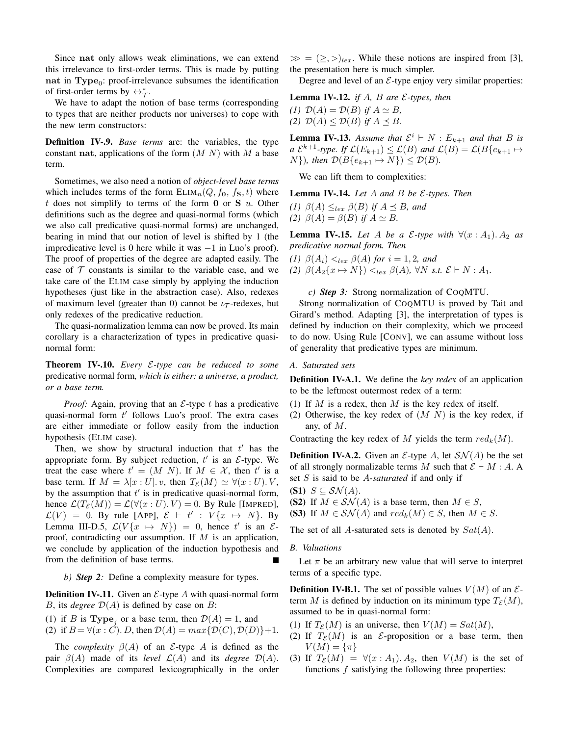Since nat only allows weak eliminations, we can extend this irrelevance to first-order terms. This is made by putting nat in Type<sub>0</sub>: proof-irrelevance subsumes the identification of first-order terms by  $\leftrightarrow_{\mathcal{T}}^*$ .

We have to adapt the notion of base terms (corresponding to types that are neither products nor universes) to cope with the new term constructors:

Definition IV-.9. *Base terms* are: the variables, the type constant nat, applications of the form  $(M N)$  with M a base term.

Sometimes, we also need a notion of *object-level base terms* which includes terms of the form  $ELIM_n(Q, f_0, f_S, t)$  where t does not simplify to terms of the form  $\bf{0}$  or  $\bf{S}$  u. Other definitions such as the degree and quasi-normal forms (which we also call predicative quasi-normal forms) are unchanged, bearing in mind that our notion of level is shifted by 1 (the impredicative level is 0 here while it was  $-1$  in Luo's proof). The proof of properties of the degree are adapted easily. The case of  $T$  constants is similar to the variable case, and we take care of the ELIM case simply by applying the induction hypotheses (just like in the abstraction case). Also, redexes of maximum level (greater than 0) cannot be  $i\tau$ -redexes, but only redexes of the predicative reduction.

The quasi-normalization lemma can now be proved. Its main corollary is a characterization of types in predicative quasinormal form:

Theorem IV-.10. *Every* E*-type can be reduced to some* predicative normal form*, which is either: a universe, a product, or a base term.*

*Proof:* Again, proving that an  $\mathcal{E}$ -type t has a predicative quasi-normal form  $t'$  follows Luo's proof. The extra cases are either immediate or follow easily from the induction hypothesis (ELIM case).

Then, we show by structural induction that  $t'$  has the appropriate form. By subject reduction,  $t'$  is an  $\mathcal{E}\text{-type}$ . We treat the case where  $t' = (M \ N)$ . If  $M \in \mathcal{X}$ , then  $t'$  is a base term. If  $M = \lambda[x:U]$ , v, then  $T_{\mathcal{E}}(M) \simeq \forall (x:U)$ , V, by the assumption that  $t'$  is in predicative quasi-normal form, hence  $\mathcal{L}(T_{\mathcal{E}}(M)) = \mathcal{L}(\forall (x:U). V) = 0$ . By Rule [IMPRED],  $\mathcal{L}(V) = 0$ . By rule [APP],  $\mathcal{E} \vdash t' : V\{x \mapsto N\}$ . By Lemma III-D.5,  $\mathcal{L}(V\{x \mapsto N\}) = 0$ , hence t' is an  $\mathcal{E}$ proof, contradicting our assumption. If  $M$  is an application, we conclude by application of the induction hypothesis and from the definition of base terms.

*b) Step 2:* Define a complexity measure for types.

**Definition IV-.11.** Given an  $\mathcal{E}$ -type A with quasi-normal form B, its *degree*  $\mathcal{D}(A)$  is defined by case on B:

- (1) if B is **Type**<sub>i</sub> or a base term, then  $\mathcal{D}(A) = 1$ , and
- (2) if  $B = \forall (x : C)$ . D, then  $D(A) = max\{D(C), D(D)\}+1$ .

The *complexity*  $\beta(A)$  of an *E*-type A is defined as the pair  $\beta(A)$  made of its *level*  $\mathcal{L}(A)$  and its *degree*  $\mathcal{D}(A)$ . Complexities are compared lexicographically in the order

 $\gg = (\ge, >)_{lex}$ . While these notions are inspired from [3], the presentation here is much simpler.

Degree and level of an  $\mathcal{E}$ -type enjoy very similar properties:

Lemma IV-.12. *if* A*,* B *are* E*-types, then*

*(1)*  $\mathcal{D}(A) = \mathcal{D}(B)$  *if*  $A \simeq B$ *, (2)*  $\mathcal{D}(A) \leq \mathcal{D}(B)$  *if*  $A \preceq B$ *.* 

**Lemma IV-.13.** Assume that  $\mathcal{E}^i \vdash N : E_{k+1}$  and that B is *a*  $\mathcal{E}^{k+1}$ -type. If  $\mathcal{L}(E_{k+1}) \leq \mathcal{L}(B)$  and  $\mathcal{L}(B) = \mathcal{L}(B\{e_{k+1} \mapsto$  $N\}$ *), then*  $\mathcal{D}(B\{e_{k+1} \mapsto N\}) \leq \mathcal{D}(B)$ *.* 

We can lift them to complexities:

Lemma IV-.14. *Let* A *and* B *be* E*-types. Then*

*(1)*  $\beta(A) \leq_{lex} \beta(B)$  *if*  $A \preceq B$ *, and (2)*  $\beta(A) = \beta(B)$  *if*  $A \simeq B$ .

**Lemma IV-.15.** Let A be a  $\mathcal{E}$ -type with  $\forall (x : A_1)$ .  $A_2$  as *predicative normal form. Then*

*(1)*  $\beta(A_i) <_{lex} \beta(A)$  *for*  $i = 1, 2$ *, and* 

*(2)*  $\beta(A_2\{x \mapsto N\}) \leq_{lex} \beta(A)$ ,  $\forall N \text{ s.t. } \mathcal{E} \vdash N : A_1$ .

*c) Step 3:* Strong normalization of COQMTU.

Strong normalization of COQMTU is proved by Tait and Girard's method. Adapting [3], the interpretation of types is defined by induction on their complexity, which we proceed to do now. Using Rule [CONV], we can assume without loss of generality that predicative types are minimum.

# *A. Saturated sets*

Definition IV-A.1. We define the *key redex* of an application to be the leftmost outermost redex of a term:

- (1) If  $M$  is a redex, then  $M$  is the key redex of itself.
- (2) Otherwise, the key redex of  $(M\ N)$  is the key redex, if any, of M.

Contracting the key redex of M yields the term  $red_k(M)$ .

**Definition IV-A.2.** Given an  $\mathcal{E}$ -type A, let  $\mathcal{SN}(A)$  be the set of all strongly normalizable terms M such that  $\mathcal{E} \vdash M : A$ . A set S is said to be A*-saturated* if and only if

- (S1)  $S \subseteq S\mathcal{N}(A)$ .
- (S2) If  $M \in \mathcal{SN}(A)$  is a base term, then  $M \in S$ ,
- (S3) If  $M \in \mathcal{SN}(A)$  and  $red_k(M) \in S$ , then  $M \in S$ .

The set of all A-saturated sets is denoted by  $Sat(A)$ .

# *B. Valuations*

Let  $\pi$  be an arbitrary new value that will serve to interpret terms of a specific type.

**Definition IV-B.1.** The set of possible values  $V(M)$  of an  $\mathcal{E}$ term M is defined by induction on its minimum type  $T_{\mathcal{E}}(M)$ , assumed to be in quasi-normal form:

- (1) If  $T_{\mathcal{E}}(M)$  is an universe, then  $V(M) = Sat(M)$ ,
- (2) If  $T_{\mathcal{E}}(M)$  is an *E*-proposition or a base term, then  $V(M) = {\pi}$
- (3) If  $T_{\mathcal{E}}(M) = \forall (x : A_1) \ldotp A_2$ , then  $V(M)$  is the set of functions  $f$  satisfying the following three properties: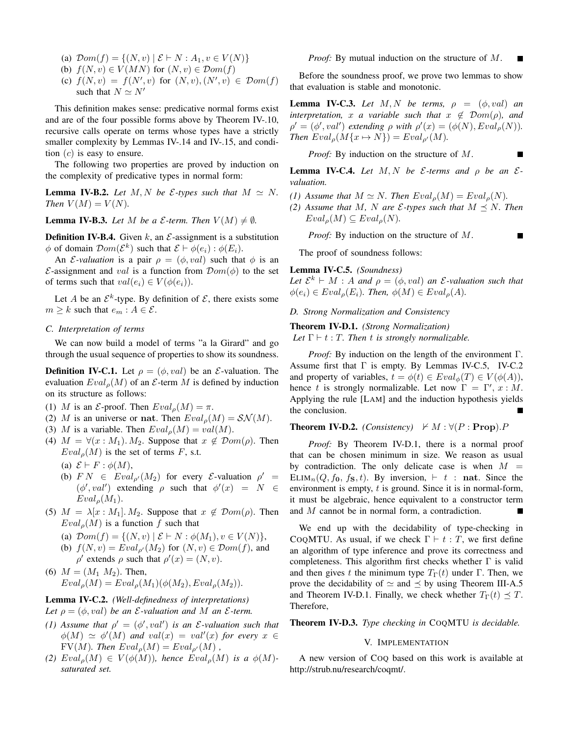- (a)  $\mathcal{D}om(f) = \{(N, v) | \mathcal{E} \vdash N : A_1, v \in V(N)\}\$
- (b)  $f(N, v) \in V(MN)$  for  $(N, v) \in \mathcal{D}om(f)$
- (c)  $f(N, v) = f(N', v)$  for  $(N, v), (N', v) \in \mathcal{D}om(f)$ such that  $N \simeq N'$

This definition makes sense: predicative normal forms exist and are of the four possible forms above by Theorem IV-.10, recursive calls operate on terms whose types have a strictly smaller complexity by Lemmas IV-.14 and IV-.15, and condition  $(c)$  is easy to ensure.

The following two properties are proved by induction on the complexity of predicative types in normal form:

**Lemma IV-B.2.** *Let*  $M, N$  *be*  $\mathcal{E}\text{-types such that } M \simeq N$ . *Then*  $V(M) = V(N)$ *.* 

**Lemma IV-B.3.** *Let* M *be a*  $\mathcal{E}$ *-term. Then*  $V(M) \neq \emptyset$ *.* 

**Definition IV-B.4.** Given k, an  $\mathcal{E}$ -assignment is a substitution  $\phi$  of domain  $\mathcal{D}om(\mathcal{E}^k)$  such that  $\mathcal{E} \vdash \phi(e_i) : \phi(E_i)$ .

An *E*-valuation is a pair  $\rho = (\phi, val)$  such that  $\phi$  is an E-assignment and val is a function from  $Dom(\phi)$  to the set of terms such that  $val(e_i) \in V(\phi(e_i)).$ 

Let A be an  $\mathcal{E}^k$ -type. By definition of  $\mathcal{E}$ , there exists some  $m \geq k$  such that  $e_m : A \in \mathcal{E}$ .

# *C. Interpretation of terms*

We can now build a model of terms "a la Girard" and go through the usual sequence of properties to show its soundness.

**Definition IV-C.1.** Let  $\rho = (\phi, val)$  be an *E*-valuation. The evaluation  $Eval<sub>o</sub>(M)$  of an  $\mathcal E$ -term M is defined by induction on its structure as follows:

- (1) M is an *E*-proof. Then  $Eval_{\rho}(M) = \pi$ .
- (2) M is an universe or nat. Then  $Eval_{\rho}(M) = \mathcal{SN}(M)$ .
- (3) M is a variable. Then  $Eval<sub>o</sub>(M) = val(M)$ .
- (4)  $M = \forall (x : M_1)$ . M<sub>2</sub>. Suppose that  $x \notin \mathcal{D}om(\rho)$ . Then  $Eval<sub>o</sub>(M)$  is the set of terms F, s.t.
	- (a)  $\mathcal{E} \vdash F : \phi(M)$ ,
	- (b)  $FN \in \text{Eval}_{\rho'}(M_2)$  for every  $\mathcal{E}\text{-valuation } \rho' =$  $(\phi', val')$  extending  $\rho$  such that  $\phi'(x) = N \in$  $Eval<sub>o</sub>(M<sub>1</sub>).$
- (5)  $M = \lambda[x : M_1]$ .  $M_2$ . Suppose that  $x \notin \mathcal{D}om(\rho)$ . Then  $Eval<sub>o</sub>(M)$  is a function f such that
	- (a)  $\mathcal{D}om(f) = \{(N, v) | \mathcal{E} \vdash N : \phi(M_1), v \in V(N)\},\$ (b)  $f(N, v) = Eval_{\rho'}(M_2)$  for  $(N, v) \in \mathcal{D}om(f)$ , and  $\rho'$  extends  $\rho$  such that  $\rho'(x) = (N, v)$ .
- (6)  $M = (M_1 M_2)$ . Then,  $Eval<sub>o</sub>(M) =Eval<sub>o</sub>(M<sub>1</sub>)(\phi(M<sub>2</sub>),Eval<sub>o</sub>(M<sub>2</sub>)).$

# Lemma IV-C.2. *(Well-definedness of interpretations)*

- *Let*  $\rho = (\phi, val)$  *be an E-valuation and* M *an E-term.*
- *(1)* Assume that  $\rho' = (\phi', val')$  is an *E*-valuation such that  $\phi(M) \simeq \phi'(M)$  and  $val(x) = val'(x)$  for every  $x \in$  $FV(M)$ *. Then*  $Eval<sub>o</sub>(M) =Eval<sub>o'</sub>(M)$ ,
- (2)  $Eval<sub>\rho</sub>(M) \in V(\phi(M))$ *, hence*  $Eval<sub>\rho</sub>(M)$  *is a*  $\phi(M)$ *saturated set.*

*Proof:* By mutual induction on the structure of M.

Before the soundness proof, we prove two lemmas to show that evaluation is stable and monotonic.

**Lemma IV-C.3.** Let  $M, N$  be terms,  $\rho = (\phi, val)$  and *interpretation,* x *a* variable such that  $x \notin Dom(\rho)$ , and  $\rho' = (\phi', val')$  *extending*  $\rho$  *with*  $\rho'(x) = (\phi(N), Eval_{\rho}(N)).$ *Then*  $Eval_{\rho}(M\{x \mapsto N\}) =Eval_{\rho'}(M)$ .

*Proof:* By induction on the structure of M.

**Lemma IV-C.4.** Let  $M, N$  be  $\mathcal{E}$ -terms and  $\rho$  be an  $\mathcal{E}$ *valuation.*

- *(1)* Assume that  $M \simeq N$ . Then  $Eval<sub>o</sub>(M) =Eval<sub>o</sub>(N)$ .
- *(2) Assume that* M, N are *E*-types such that  $M \preceq N$ . Then  $Eval<sub>\rho</sub>(M) \subseteq eval<sub>\rho</sub>(N).$

*Proof:* By induction on the structure of M.

The proof of soundness follows:

# Lemma IV-C.5. *(Soundness)*

Let  $\mathcal{E}^k \vdash M : A$  *and*  $\rho = (\phi, val)$  *an*  $\mathcal{E}$ -valuation such that  $\phi(e_i) \in Eval_{\rho}(E_i)$ . Then,  $\phi(M) \in Eval_{\rho}(A)$ .

*D. Strong Normalization and Consistency*

Theorem IV-D.1. *(Strong Normalization) Let*  $\Gamma \vdash t : T$ *. Then t is strongly normalizable.* 

*Proof:* By induction on the length of the environment Γ. Assume first that  $\Gamma$  is empty. By Lemmas IV-C.5, IV-C.2 and property of variables,  $t = \phi(t) \in Eval_{\phi}(T) \in V(\phi(A)),$ hence t is strongly normalizable. Let now  $\Gamma = \Gamma', x : M$ . Applying the rule [LAM] and the induction hypothesis yields the conclusion.

**Theorem IV-D.2.** *(Consistency)*  $\nvdash M : \forall (P : \textbf{Prop}).P$ 

*Proof:* By Theorem IV-D.1, there is a normal proof that can be chosen minimum in size. We reason as usual by contradiction. The only delicate case is when  $M =$ ELIM<sub>n</sub>(Q, f<sub>0</sub>, f<sub>S</sub>, t). By inversion,  $\vdash t$  : nat. Since the environment is empty,  $t$  is ground. Since it is in normal-form, it must be algebraic, hence equivalent to a constructor term and M cannot be in normal form, a contradiction.

We end up with the decidability of type-checking in COQMTU. As usual, if we check  $\Gamma \vdash t : T$ , we first define an algorithm of type inference and prove its correctness and completeness. This algorithm first checks whether  $\Gamma$  is valid and then gives t the minimum type  $T_{\Gamma}(t)$  under Γ. Then, we prove the decidability of  $\simeq$  and  $\prec$  by using Theorem III-A.5 and Theorem IV-D.1. Finally, we check whether  $T_{\Gamma}(t) \preceq T$ . Therefore,

Theorem IV-D.3. *Type checking in* COQMTU *is decidable.*

# V. IMPLEMENTATION

A new version of COQ based on this work is available at http://strub.nu/research/coqmt/.